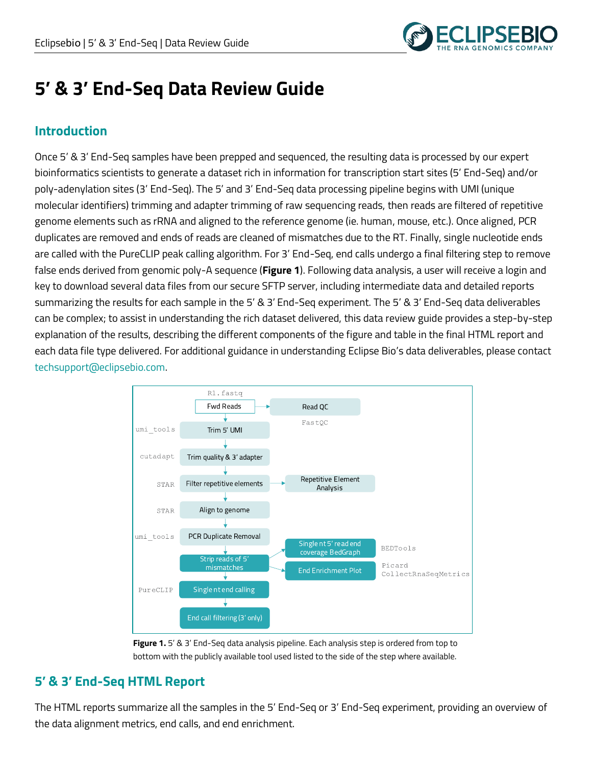

# **5' & 3' End-Seq Data Review Guide**

# **Introduction**

Once 5' & 3' End-Seq samples have been prepped and sequenced, the resulting data is processed by our expert bioinformatics scientists to generate a dataset rich in information for transcription start sites (5' End-Seq) and/or poly-adenylation sites (3' End-Seq). The 5' and 3' End-Seq data processing pipeline begins with UMI (unique molecular identifiers) trimming and adapter trimming of raw sequencing reads, then reads are filtered of repetitive genome elements such as rRNA and aligned to the reference genome (ie. human, mouse, etc.). Once aligned, PCR duplicates are removed and ends of reads are cleaned of mismatches due to the RT. Finally, single nucleotide ends are called with the PureCLIP peak calling algorithm. For 3' End-Seq, end calls undergo a final filtering step to remove false ends derived from genomic poly-A sequence (**Figure 1**). Following data analysis, a user will receive a login and key to download several data files from our secure SFTP server, including intermediate data and detailed reports summarizing the results for each sample in the 5' & 3' End-Seq experiment. The 5' & 3' End-Seq data deliverables can be complex; to assist in understanding the rich dataset delivered, this data review guide provides a step-by-step explanation of the results, describing the different components of the figure and table in the final HTML report and each data file type delivered. For additional guidance in understanding Eclipse Bio's data deliverables, please contact techsupport@eclipsebio.com.





# **5' & 3' End-Seq HTML Report**

The HTML reports summarize all the samples in the 5' End-Seq or 3' End-Seq experiment, providing an overview of the data alignment metrics, end calls, and end enrichment.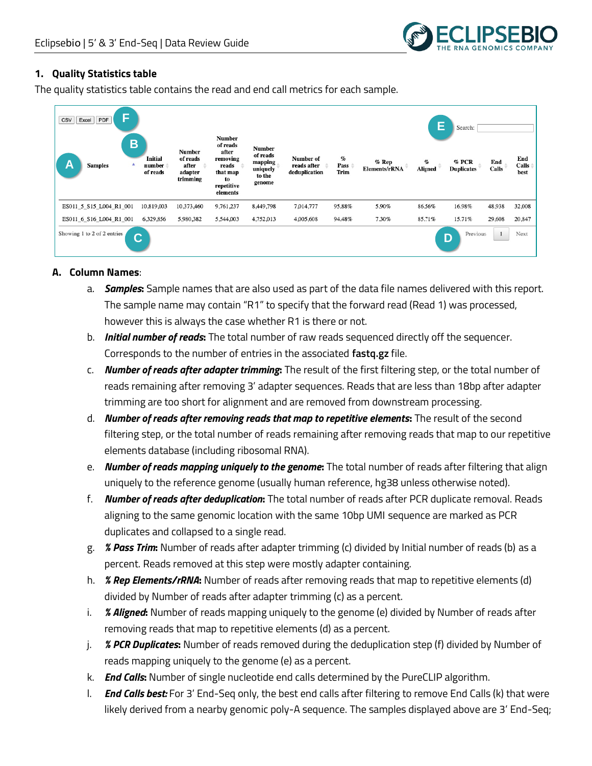

#### **1. Quality Statistics table**

The quality statistics table contains the read and end call metrics for each sample.



#### **A. Column Names**:

- a. *Samples***:** Sample names that are also used as part of the data file names delivered with this report. The sample name may contain "R1" to specify that the forward read (Read 1) was processed, however this is always the case whether R1 is there or not.
- b. *Initial number of reads***:** The total number of raw reads sequenced directly off the sequencer. Corresponds to the number of entries in the associated **fastq.gz** file.
- c. *Number of reads after adapter trimming***:** The result of the first filtering step, or the total number of reads remaining after removing 3' adapter sequences. Reads that are less than 18bp after adapter trimming are too short for alignment and are removed from downstream processing.
- d. *Number of reads after removing reads that map to repetitive elements***:** The result of the second filtering step, or the total number of reads remaining after removing reads that map to our repetitive elements database (including ribosomal RNA).
- e. *Number of reads mapping uniquely to the genome***:** The total number of reads after filtering that align uniquely to the reference genome (usually human reference, hg38 unless otherwise noted).
- f. *Number of reads after deduplication***:** The total number of reads after PCR duplicate removal. Reads aligning to the same genomic location with the same 10bp UMI sequence are marked as PCR duplicates and collapsed to a single read.
- g. *% Pass Trim***:** Number of reads after adapter trimming (c) divided by Initial number of reads (b) as a percent. Reads removed at this step were mostly adapter containing.
- h. *% Rep Elements/rRNA***:** Number of reads after removing reads that map to repetitive elements (d) divided by Number of reads after adapter trimming (c) as a percent.
- i. *% Aligned***:** Number of reads mapping uniquely to the genome (e) divided by Number of reads after removing reads that map to repetitive elements (d) as a percent.
- j. *% PCR Duplicates***:** Number of reads removed during the deduplication step (f) divided by Number of reads mapping uniquely to the genome (e) as a percent.
- k. *End Calls***:** Number of single nucleotide end calls determined by the PureCLIP algorithm.
- l. *End Calls best:* For 3' End-Seq only, the best end calls after filtering to remove End Calls (k) that were likely derived from a nearby genomic poly-A sequence. The samples displayed above are 3' End-Seq;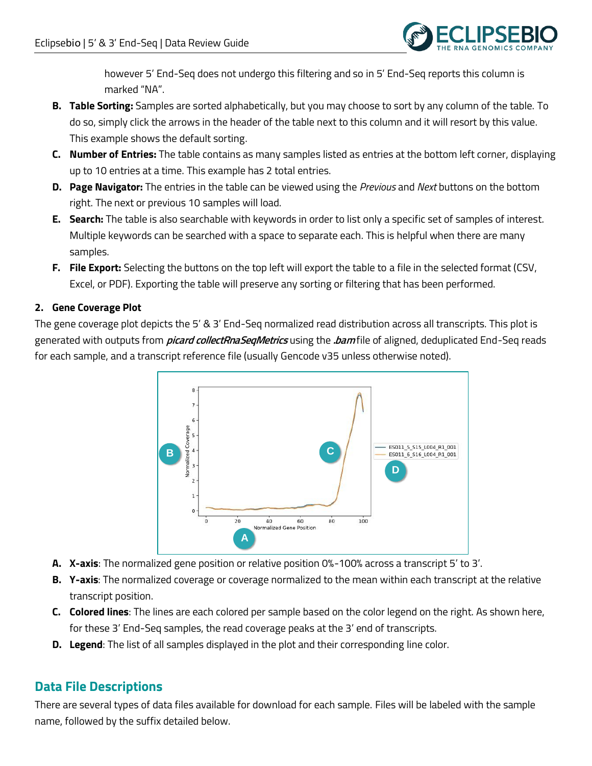

however 5' End-Seq does not undergo this filtering and so in 5' End-Seq reports this column is marked "NA".

- **B. Table Sorting:** Samples are sorted alphabetically, but you may choose to sort by any column of the table. To do so, simply click the arrows in the header of the table next to this column and it will resort by this value. This example shows the default sorting.
- **C. Number of Entries:** The table contains as many samples listed as entries at the bottom left corner, displaying up to 10 entries at a time. This example has 2 total entries.
- **D. Page Navigator:** The entries in the table can be viewed using the *Previous* and *Next* buttons on the bottom right. The next or previous 10 samples will load.
- **E. Search:** The table is also searchable with keywords in order to list only a specific set of samples of interest. Multiple keywords can be searched with a space to separate each. This is helpful when there are many samples.
- **F. File Export:** Selecting the buttons on the top left will export the table to a file in the selected format (CSV, Excel, or PDF). Exporting the table will preserve any sorting or filtering that has been performed.

# **2. Gene Coverage Plot**

The gene coverage plot depicts the 5' & 3' End-Seq normalized read distribution across all transcripts. This plot is generated with outputs from **picard collectRnaSeqMetrics** using the **.bam** file of aligned, deduplicated End-Seq reads for each sample, and a transcript reference file (usually Gencode v35 unless otherwise noted).



- **A. X-axis**: The normalized gene position or relative position 0%-100% across a transcript 5' to 3'.
- **B. Y-axis**: The normalized coverage or coverage normalized to the mean within each transcript at the relative transcript position.
- **C. Colored lines**: The lines are each colored per sample based on the color legend on the right. As shown here, for these 3' End-Seq samples, the read coverage peaks at the 3' end of transcripts.
- **D. Legend**: The list of all samples displayed in the plot and their corresponding line color.

# **Data File Descriptions**

There are several types of data files available for download for each sample. Files will be labeled with the sample name, followed by the suffix detailed below.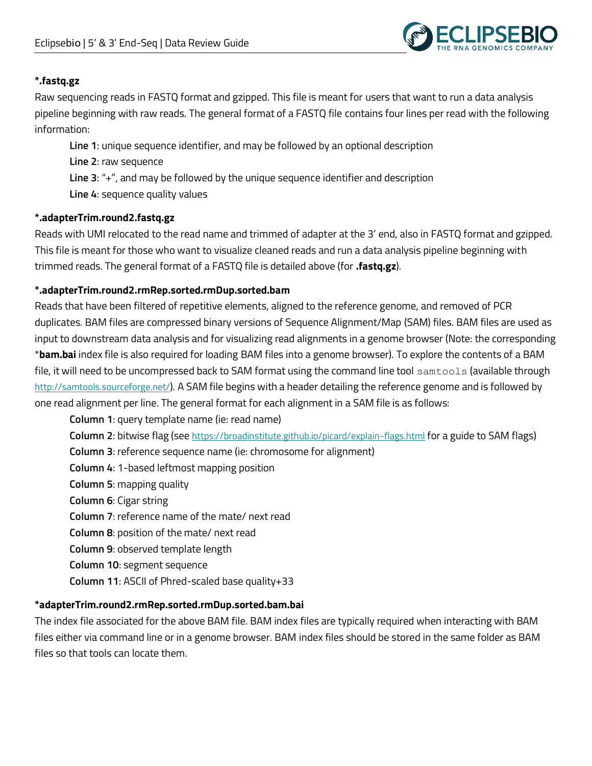

## **\*.fastq.gz**

Raw sequencing reads in FASTQ format and gzipped. This file is meant for users that want to run a data analysis pipeline beginning with raw reads. The general format of a FASTQ file contains four lines per read with the following information:

**Line 1**: unique sequence identifier, and may be followed by an optional description **Line 2**: raw sequence **Line 3**: "+", and may be followed by the unique sequence identifier and description **Line 4**: sequence quality values

#### **\*.adapterTrim.round2.fastq.gz**

Reads with UMI relocated to the read name and trimmed of adapter at the 3' end, also in FASTQ format and gzipped. This file is meant for those who want to visualize cleaned reads and run a data analysis pipeline beginning with trimmed reads. The general format of a FASTQ file is detailed above (for **.fastq.gz**).

## **\*.adapterTrim.round2.rmRep.sorted.rmDup.sorted.bam**

Reads that have been filtered of repetitive elements, aligned to the reference genome, and removed of PCR duplicates. BAM files are compressed binary versions of Sequence Alignment/Map (SAM) files. BAM files are used as input to downstream data analysis and for visualizing read alignments in a genome browser (Note: the corresponding \***bam.bai** index file is also required for loading BAM files into a genome browser). To explore the contents of a BAM file, it will need to be uncompressed back to SAM format using the command line tool samtools (available through <http://samtools.sourceforge.net/>). A SAM file begins with a header detailing the reference genome and is followed by one read alignment per line. The general format for each alignment in a SAM file is as follows:

**Column 1**: query template name (ie: read name) **Column 2**: bitwise flag (see <https://broadinstitute.github.io/picard/explain-flags.html> for a guide to SAM flags) **Column 3**: reference sequence name (ie: chromosome for alignment) **Column 4**: 1-based leftmost mapping position **Column 5**: mapping quality **Column 6**: Cigar string **Column 7**: reference name of the mate/ next read **Column 8**: position of the mate/ next read **Column 9**: observed template length **Column 10**: segment sequence **Column 11**: ASCII of Phred-scaled base quality+33

#### **\*adapterTrim.round2.rmRep.sorted.rmDup.sorted.bam.bai**

The index file associated for the above BAM file. BAM index files are typically required when interacting with BAM files either via command line or in a genome browser. BAM index files should be stored in the same folder as BAM files so that tools can locate them.